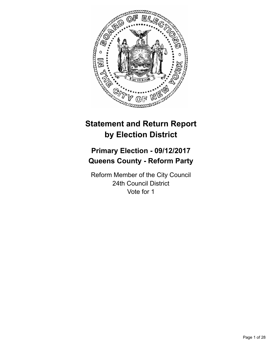

# **Statement and Return Report by Election District**

## **Primary Election - 09/12/2017 Queens County - Reform Party**

Reform Member of the City Council 24th Council District Vote for 1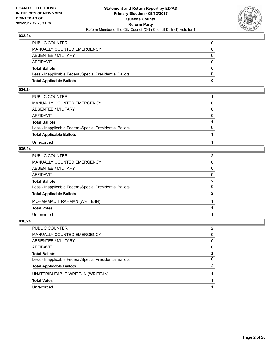

| <b>Total Applicable Ballots</b>                          | 0        |
|----------------------------------------------------------|----------|
| Less - Inapplicable Federal/Special Presidential Ballots | $\Omega$ |
| <b>Total Ballots</b>                                     | $\bf{0}$ |
| <b>AFFIDAVIT</b>                                         | $\Omega$ |
| <b>ABSENTEE / MILITARY</b>                               | $\Omega$ |
| <b>MANUALLY COUNTED EMERGENCY</b>                        | 0        |
| PUBLIC COUNTER                                           | 0        |

#### **034/24**

| PUBLIC COUNTER                                           |          |
|----------------------------------------------------------|----------|
| MANUALLY COUNTED EMERGENCY                               | 0        |
| ABSENTEE / MILITARY                                      | $\Omega$ |
| AFFIDAVIT                                                | $\Omega$ |
| <b>Total Ballots</b>                                     |          |
| Less - Inapplicable Federal/Special Presidential Ballots | $\Omega$ |
| <b>Total Applicable Ballots</b>                          |          |
| Unrecorded                                               |          |

### **035/24**

| PUBLIC COUNTER                                           | $\overline{2}$ |
|----------------------------------------------------------|----------------|
| MANUALLY COUNTED EMERGENCY                               | 0              |
| ABSENTEE / MILITARY                                      | 0              |
| AFFIDAVIT                                                | $\mathbf{0}$   |
| Total Ballots                                            | $\mathbf{2}$   |
| Less - Inapplicable Federal/Special Presidential Ballots | 0              |
| <b>Total Applicable Ballots</b>                          | $\mathbf{2}$   |
| MOHAMMAD T RAHMAN (WRITE-IN)                             |                |
| <b>Total Votes</b>                                       |                |
| Unrecorded                                               |                |

| PUBLIC COUNTER                                           | 2              |
|----------------------------------------------------------|----------------|
| MANUALLY COUNTED EMERGENCY                               | 0              |
| ABSENTEE / MILITARY                                      | 0              |
| AFFIDAVIT                                                | 0              |
| <b>Total Ballots</b>                                     | $\mathbf{2}$   |
| Less - Inapplicable Federal/Special Presidential Ballots | 0              |
| <b>Total Applicable Ballots</b>                          | $\overline{2}$ |
| UNATTRIBUTABLE WRITE-IN (WRITE-IN)                       |                |
| <b>Total Votes</b>                                       |                |
| Unrecorded                                               |                |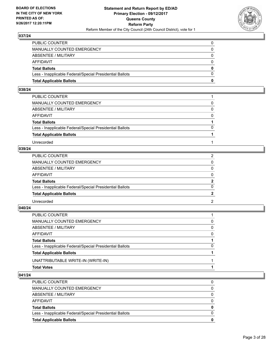

| <b>Total Applicable Ballots</b>                          | 0        |
|----------------------------------------------------------|----------|
| Less - Inapplicable Federal/Special Presidential Ballots | $\Omega$ |
| <b>Total Ballots</b>                                     | $\bf{0}$ |
| <b>AFFIDAVIT</b>                                         | $\Omega$ |
| <b>ABSENTEE / MILITARY</b>                               | $\Omega$ |
| <b>MANUALLY COUNTED EMERGENCY</b>                        | 0        |
| PUBLIC COUNTER                                           | 0        |

#### **038/24**

| PUBLIC COUNTER                                           |          |
|----------------------------------------------------------|----------|
| MANUALLY COUNTED EMERGENCY                               | 0        |
| ABSENTEE / MILITARY                                      | $\Omega$ |
| AFFIDAVIT                                                | $\Omega$ |
| <b>Total Ballots</b>                                     |          |
| Less - Inapplicable Federal/Special Presidential Ballots | $\Omega$ |
| <b>Total Applicable Ballots</b>                          |          |
| Unrecorded                                               |          |

## **039/24**

| PUBLIC COUNTER                                           |                |
|----------------------------------------------------------|----------------|
| MANUALLY COUNTED EMERGENCY                               | 0              |
| ABSENTEE / MILITARY                                      | 0              |
| AFFIDAVIT                                                | $\Omega$       |
| <b>Total Ballots</b>                                     | $\overline{2}$ |
| Less - Inapplicable Federal/Special Presidential Ballots | 0              |
| <b>Total Applicable Ballots</b>                          |                |
| Unrecorded                                               | $\mathcal{P}$  |

#### **040/24**

| PUBLIC COUNTER                                           |          |
|----------------------------------------------------------|----------|
| MANUALLY COUNTED EMERGENCY                               | $\Omega$ |
| ABSENTEE / MILITARY                                      | 0        |
| AFFIDAVIT                                                | $\Omega$ |
| <b>Total Ballots</b>                                     |          |
| Less - Inapplicable Federal/Special Presidential Ballots | $\Omega$ |
| <b>Total Applicable Ballots</b>                          |          |
| UNATTRIBUTABLE WRITE-IN (WRITE-IN)                       |          |
| <b>Total Votes</b>                                       |          |

| <b>Total Applicable Ballots</b>                          | 0        |
|----------------------------------------------------------|----------|
| Less - Inapplicable Federal/Special Presidential Ballots | 0        |
| <b>Total Ballots</b>                                     | 0        |
| AFFIDAVIT                                                | 0        |
| ABSENTEE / MILITARY                                      | $\Omega$ |
| MANUALLY COUNTED EMERGENCY                               | 0        |
| <b>PUBLIC COUNTER</b>                                    | 0        |
|                                                          |          |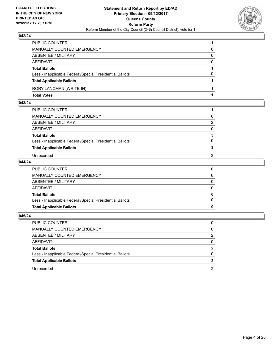

| PUBLIC COUNTER                                           |          |
|----------------------------------------------------------|----------|
| MANUALLY COUNTED EMERGENCY                               | 0        |
| <b>ABSENTEE / MILITARY</b>                               | 0        |
| <b>AFFIDAVIT</b>                                         | $\Omega$ |
| <b>Total Ballots</b>                                     |          |
| Less - Inapplicable Federal/Special Presidential Ballots | 0        |
| <b>Total Applicable Ballots</b>                          |          |
| RORY LANCMAN (WRITE-IN)                                  |          |
| <b>Total Votes</b>                                       |          |

#### **043/24**

| PUBLIC COUNTER                                           |          |
|----------------------------------------------------------|----------|
| MANUALLY COUNTED EMERGENCY                               | 0        |
| ABSENTEE / MILITARY                                      | 2        |
| AFFIDAVIT                                                | 0        |
| <b>Total Ballots</b>                                     | 3        |
| Less - Inapplicable Federal/Special Presidential Ballots | $\Omega$ |
| <b>Total Applicable Ballots</b>                          |          |
| Unrecorded                                               | 3        |
|                                                          |          |

## **044/24**

| <b>Total Applicable Ballots</b>                          |  |
|----------------------------------------------------------|--|
| Less - Inapplicable Federal/Special Presidential Ballots |  |
| <b>Total Ballots</b>                                     |  |
| AFFIDAVIT                                                |  |
| ABSENTEE / MILITARY                                      |  |
| MANUALLY COUNTED EMERGENCY                               |  |
| PUBLIC COUNTER                                           |  |

| PUBLIC COUNTER                                           |                |
|----------------------------------------------------------|----------------|
| MANUALLY COUNTED EMERGENCY                               | $\mathbf{0}$   |
| ABSENTEE / MILITARY                                      | 2              |
| AFFIDAVIT                                                | $\Omega$       |
| <b>Total Ballots</b>                                     | $\overline{2}$ |
| Less - Inapplicable Federal/Special Presidential Ballots | $\Omega$       |
| <b>Total Applicable Ballots</b>                          |                |
| Unrecorded                                               |                |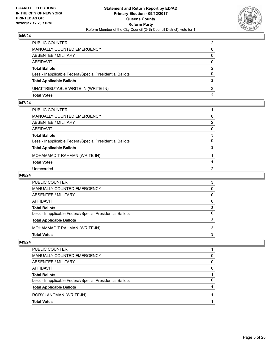

| PUBLIC COUNTER                                           | 2            |
|----------------------------------------------------------|--------------|
| MANUALLY COUNTED EMERGENCY                               | 0            |
| ABSENTEE / MILITARY                                      | $\mathbf{0}$ |
| AFFIDAVIT                                                | $\Omega$     |
| <b>Total Ballots</b>                                     | $\mathbf{2}$ |
| Less - Inapplicable Federal/Special Presidential Ballots | $\Omega$     |
| <b>Total Applicable Ballots</b>                          |              |
| UNATTRIBUTABLE WRITE-IN (WRITE-IN)                       | 2            |
| <b>Total Votes</b>                                       | $\mathbf{2}$ |

## **047/24**

| PUBLIC COUNTER                                           |                |
|----------------------------------------------------------|----------------|
| MANUALLY COUNTED EMERGENCY                               | 0              |
| ABSENTEE / MILITARY                                      | 2              |
| AFFIDAVIT                                                | $\mathbf{0}$   |
| Total Ballots                                            | 3              |
| Less - Inapplicable Federal/Special Presidential Ballots | 0              |
| <b>Total Applicable Ballots</b>                          | 3              |
| MOHAMMAD T RAHMAN (WRITE-IN)                             |                |
| <b>Total Votes</b>                                       |                |
| Unrecorded                                               | $\overline{2}$ |

#### **048/24**

| PUBLIC COUNTER                                           |   |
|----------------------------------------------------------|---|
| <b>MANUALLY COUNTED EMERGENCY</b>                        | 0 |
| <b>ABSENTEE / MILITARY</b>                               | 0 |
| <b>AFFIDAVIT</b>                                         | 0 |
| <b>Total Ballots</b>                                     |   |
| Less - Inapplicable Federal/Special Presidential Ballots |   |
| <b>Total Applicable Ballots</b>                          |   |
| MOHAMMAD T RAHMAN (WRITE-IN)                             | 3 |
| <b>Total Votes</b>                                       |   |

| <b>Total Votes</b>                                       |   |
|----------------------------------------------------------|---|
| RORY LANCMAN (WRITE-IN)                                  |   |
| <b>Total Applicable Ballots</b>                          |   |
| Less - Inapplicable Federal/Special Presidential Ballots | 0 |
| <b>Total Ballots</b>                                     |   |
| AFFIDAVIT                                                | 0 |
| ABSENTEE / MILITARY                                      | 0 |
| MANUALLY COUNTED EMERGENCY                               | 0 |
| PUBLIC COUNTER                                           |   |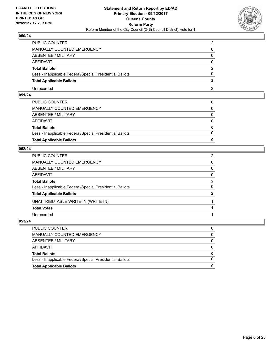

| PUBLIC COUNTER                                           | ◠ |
|----------------------------------------------------------|---|
| <b>MANUALLY COUNTED EMERGENCY</b>                        |   |
| ABSENTEE / MILITARY                                      |   |
| AFFIDAVIT                                                |   |
| <b>Total Ballots</b>                                     |   |
| Less - Inapplicable Federal/Special Presidential Ballots |   |
| <b>Total Applicable Ballots</b>                          |   |
| Unrecorded                                               |   |

## **051/24**

| <b>Total Applicable Ballots</b>                          | 0            |
|----------------------------------------------------------|--------------|
| Less - Inapplicable Federal/Special Presidential Ballots | $\Omega$     |
| <b>Total Ballots</b>                                     | $\mathbf{0}$ |
| AFFIDAVIT                                                | $\Omega$     |
| ABSENTEE / MILITARY                                      | $\Omega$     |
| MANUALLY COUNTED EMERGENCY                               | $\mathbf{0}$ |
| PUBLIC COUNTER                                           | $\Omega$     |

## **052/24**

| PUBLIC COUNTER                                           | $\overline{2}$ |
|----------------------------------------------------------|----------------|
| MANUALLY COUNTED EMERGENCY                               | 0              |
| ABSENTEE / MILITARY                                      | 0              |
| AFFIDAVIT                                                | 0              |
| Total Ballots                                            | $\mathbf{2}$   |
| Less - Inapplicable Federal/Special Presidential Ballots | 0              |
| <b>Total Applicable Ballots</b>                          | $\overline{2}$ |
| UNATTRIBUTABLE WRITE-IN (WRITE-IN)                       |                |
| <b>Total Votes</b>                                       |                |
| Unrecorded                                               |                |

| PUBLIC COUNTER                                           | 0        |
|----------------------------------------------------------|----------|
| MANUALLY COUNTED EMERGENCY                               | $\Omega$ |
| ABSENTEE / MILITARY                                      | $\Omega$ |
| AFFIDAVIT                                                | $\Omega$ |
| <b>Total Ballots</b>                                     | $\bf{0}$ |
| Less - Inapplicable Federal/Special Presidential Ballots | $\Omega$ |
| <b>Total Applicable Ballots</b>                          | 0        |
|                                                          |          |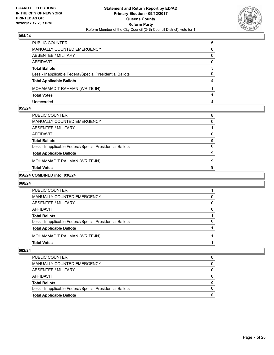

| PUBLIC COUNTER                                           | 5            |
|----------------------------------------------------------|--------------|
| MANUALLY COUNTED EMERGENCY                               | 0            |
| <b>ABSENTEE / MILITARY</b>                               | 0            |
| AFFIDAVIT                                                | <sup>0</sup> |
| <b>Total Ballots</b>                                     | 5            |
| Less - Inapplicable Federal/Special Presidential Ballots | 0            |
| <b>Total Applicable Ballots</b>                          | 5            |
| MOHAMMAD T RAHMAN (WRITE-IN)                             |              |
| <b>Total Votes</b>                                       |              |
| Unrecorded                                               |              |

#### **055/24**

| AFFIDAVIT                                                                        | 0                 |
|----------------------------------------------------------------------------------|-------------------|
| <b>Total Ballots</b><br>Less - Inapplicable Federal/Special Presidential Ballots | 9<br><sup>0</sup> |
| <b>Total Applicable Ballots</b>                                                  | 9                 |
| MOHAMMAD T RAHMAN (WRITE-IN)                                                     | 9                 |
| <b>Total Votes</b>                                                               | 9                 |

#### **056/24 COMBINED into: 036/24**

## **060/24**

| <b>Total Votes</b>                                       |   |
|----------------------------------------------------------|---|
| MOHAMMAD T RAHMAN (WRITE-IN)                             |   |
| <b>Total Applicable Ballots</b>                          |   |
| Less - Inapplicable Federal/Special Presidential Ballots | 0 |
| <b>Total Ballots</b>                                     |   |
| AFFIDAVIT                                                | 0 |
| ABSENTEE / MILITARY                                      | 0 |
| MANUALLY COUNTED EMERGENCY                               | 0 |
| PUBLIC COUNTER                                           |   |

| <b>Total Applicable Ballots</b>                          | 0 |
|----------------------------------------------------------|---|
| Less - Inapplicable Federal/Special Presidential Ballots | 0 |
| <b>Total Ballots</b>                                     | 0 |
| AFFIDAVIT                                                |   |
| ABSENTEE / MILITARY                                      | 0 |
| MANUALLY COUNTED EMERGENCY                               |   |
| PUBLIC COUNTER                                           |   |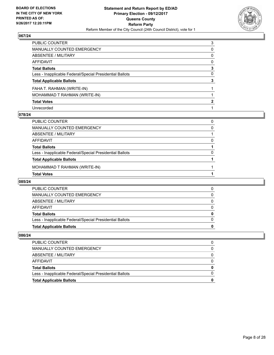

| PUBLIC COUNTER                                           | 3 |
|----------------------------------------------------------|---|
| MANUALLY COUNTED EMERGENCY                               | 0 |
| <b>ABSENTEE / MILITARY</b>                               | 0 |
| <b>AFFIDAVIT</b>                                         | 0 |
| <b>Total Ballots</b>                                     | 3 |
| Less - Inapplicable Federal/Special Presidential Ballots | 0 |
| <b>Total Applicable Ballots</b>                          | 3 |
| FAHA T. RAHMAN (WRITE-IN)                                |   |
| MOHAMMAD T RAHMAN (WRITE-IN)                             |   |
| <b>Total Votes</b>                                       | 2 |
| Unrecorded                                               |   |

#### **078/24**

| PUBLIC COUNTER                                           | 0        |
|----------------------------------------------------------|----------|
| <b>MANUALLY COUNTED EMERGENCY</b>                        | 0        |
| <b>ABSENTEE / MILITARY</b>                               |          |
| AFFIDAVIT                                                | $\Omega$ |
| <b>Total Ballots</b>                                     |          |
| Less - Inapplicable Federal/Special Presidential Ballots | $\Omega$ |
| <b>Total Applicable Ballots</b>                          |          |
| MOHAMMAD T RAHMAN (WRITE-IN)                             |          |
| <b>Total Votes</b>                                       |          |

#### **085/24**

| <b>PUBLIC COUNTER</b>                                    |  |
|----------------------------------------------------------|--|
| MANUALLY COUNTED EMERGENCY                               |  |
| ABSENTEE / MILITARY                                      |  |
| AFFIDAVIT                                                |  |
| <b>Total Ballots</b>                                     |  |
| Less - Inapplicable Federal/Special Presidential Ballots |  |
| <b>Total Applicable Ballots</b>                          |  |

| <b>PUBLIC COUNTER</b>                                    |  |
|----------------------------------------------------------|--|
| MANUALLY COUNTED EMERGENCY                               |  |
| ABSENTEE / MILITARY                                      |  |
| AFFIDAVIT                                                |  |
| <b>Total Ballots</b>                                     |  |
| Less - Inapplicable Federal/Special Presidential Ballots |  |
| <b>Total Applicable Ballots</b>                          |  |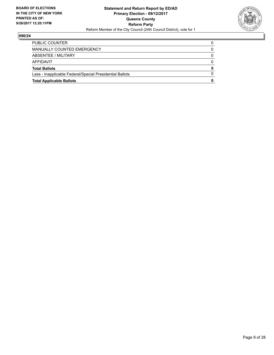

| <b>Total Applicable Ballots</b>                          | 0 |
|----------------------------------------------------------|---|
| Less - Inapplicable Federal/Special Presidential Ballots |   |
| <b>Total Ballots</b>                                     | 0 |
| AFFIDAVIT                                                | 0 |
| ABSENTEE / MILITARY                                      | 0 |
| MANUALLY COUNTED EMERGENCY                               |   |
| <b>PUBLIC COUNTER</b>                                    |   |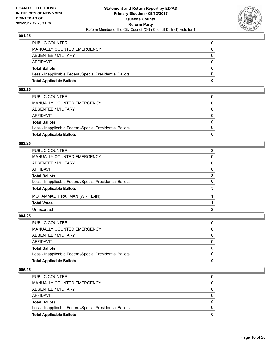

| <b>Total Applicable Ballots</b>                          | 0            |
|----------------------------------------------------------|--------------|
| Less - Inapplicable Federal/Special Presidential Ballots | $\Omega$     |
| <b>Total Ballots</b>                                     | $\mathbf{0}$ |
| AFFIDAVIT                                                | $\Omega$     |
| <b>ABSENTEE / MILITARY</b>                               | $\Omega$     |
| <b>MANUALLY COUNTED EMERGENCY</b>                        | 0            |
| PUBLIC COUNTER                                           | 0            |

#### **002/25**

| PUBLIC COUNTER                                           | $\Omega$     |
|----------------------------------------------------------|--------------|
| MANUALLY COUNTED EMERGENCY                               | 0            |
| ABSENTEE / MILITARY                                      | $\Omega$     |
| AFFIDAVIT                                                | $\Omega$     |
| <b>Total Ballots</b>                                     | $\mathbf{0}$ |
| Less - Inapplicable Federal/Special Presidential Ballots | $\Omega$     |
| <b>Total Applicable Ballots</b>                          | 0            |
|                                                          |              |

#### **003/25**

| PUBLIC COUNTER                                           | 3 |
|----------------------------------------------------------|---|
| <b>MANUALLY COUNTED EMERGENCY</b>                        | 0 |
| ABSENTEE / MILITARY                                      | 0 |
| AFFIDAVIT                                                | 0 |
| <b>Total Ballots</b>                                     | 3 |
| Less - Inapplicable Federal/Special Presidential Ballots | 0 |
| <b>Total Applicable Ballots</b>                          | 3 |
| MOHAMMAD T RAHMAN (WRITE-IN)                             |   |
| <b>Total Votes</b>                                       |   |
| Unrecorded                                               | 2 |
|                                                          |   |

## **004/25**

| PUBLIC COUNTER                                           | 0            |
|----------------------------------------------------------|--------------|
| MANUALLY COUNTED EMERGENCY                               | $\Omega$     |
| ABSENTEE / MILITARY                                      | 0            |
| AFFIDAVIT                                                | $\Omega$     |
| <b>Total Ballots</b>                                     | $\mathbf{0}$ |
| Less - Inapplicable Federal/Special Presidential Ballots | $\Omega$     |
| <b>Total Applicable Ballots</b>                          | 0            |

| Less - Inapplicable Federal/Special Presidential Ballots<br><b>Total Applicable Ballots</b> | 0 |
|---------------------------------------------------------------------------------------------|---|
| <b>Total Ballots</b>                                                                        |   |
| AFFIDAVIT                                                                                   |   |
| ABSENTEE / MILITARY                                                                         | 0 |
| MANUALLY COUNTED EMERGENCY                                                                  | 0 |
| <b>PUBLIC COUNTER</b>                                                                       | 0 |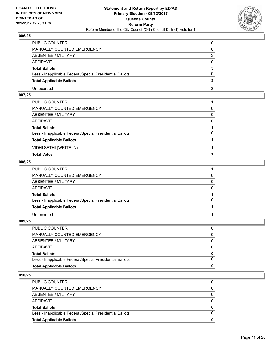

| PUBLIC COUNTER                                           |  |
|----------------------------------------------------------|--|
| <b>MANUALLY COUNTED EMERGENCY</b>                        |  |
| <b>ABSENTEE / MILITARY</b>                               |  |
| AFFIDAVIT                                                |  |
| <b>Total Ballots</b>                                     |  |
| Less - Inapplicable Federal/Special Presidential Ballots |  |
| <b>Total Applicable Ballots</b>                          |  |
| Unrecorded                                               |  |

## **007/25**

| <b>Total Votes</b>                                       |              |
|----------------------------------------------------------|--------------|
| VIDHI SETHI (WRITE-IN)                                   |              |
| <b>Total Applicable Ballots</b>                          |              |
| Less - Inapplicable Federal/Special Presidential Ballots | $\Omega$     |
| <b>Total Ballots</b>                                     |              |
| AFFIDAVIT                                                | $\mathbf{0}$ |
| ABSENTEE / MILITARY                                      | $\mathbf{0}$ |
| MANUALLY COUNTED EMERGENCY                               | 0            |
| PUBLIC COUNTER                                           |              |

## **008/25**

| PUBLIC COUNTER                                           |   |
|----------------------------------------------------------|---|
| MANUALLY COUNTED EMERGENCY                               |   |
| ABSENTEE / MILITARY                                      | 0 |
| AFFIDAVIT                                                |   |
| <b>Total Ballots</b>                                     |   |
| Less - Inapplicable Federal/Special Presidential Ballots |   |
| <b>Total Applicable Ballots</b>                          |   |
| Unrecorded                                               |   |

## **009/25**

| <b>Total Applicable Ballots</b>                          | 0            |
|----------------------------------------------------------|--------------|
| Less - Inapplicable Federal/Special Presidential Ballots |              |
| <b>Total Ballots</b>                                     | 0            |
| AFFIDAVIT                                                | 0            |
| ABSENTEE / MILITARY                                      | 0            |
| MANUALLY COUNTED EMERGENCY                               | $\mathbf{0}$ |
| PUBLIC COUNTER                                           |              |

| <b>PUBLIC COUNTER</b>                                    | 0        |
|----------------------------------------------------------|----------|
| MANUALLY COUNTED EMERGENCY                               | 0        |
| ABSENTEE / MILITARY                                      | 0        |
| AFFIDAVIT                                                | $\Omega$ |
| <b>Total Ballots</b>                                     | 0        |
| Less - Inapplicable Federal/Special Presidential Ballots | 0        |
| <b>Total Applicable Ballots</b>                          | 0        |
|                                                          |          |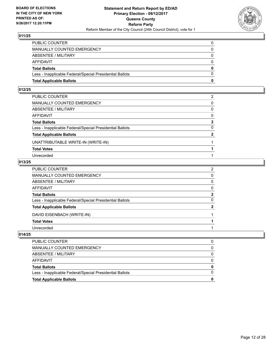

| <b>Total Applicable Ballots</b>                          | 0            |
|----------------------------------------------------------|--------------|
| Less - Inapplicable Federal/Special Presidential Ballots | $\Omega$     |
| <b>Total Ballots</b>                                     | $\mathbf{0}$ |
| <b>AFFIDAVIT</b>                                         | $\Omega$     |
| <b>ABSENTEE / MILITARY</b>                               | $\Omega$     |
| <b>MANUALLY COUNTED EMERGENCY</b>                        | $\Omega$     |
| PUBLIC COUNTER                                           | 0            |

#### **012/25**

| PUBLIC COUNTER                                           | 2              |
|----------------------------------------------------------|----------------|
| MANUALLY COUNTED EMERGENCY                               | 0              |
| ABSENTEE / MILITARY                                      | $\mathbf{0}$   |
| AFFIDAVIT                                                | $\mathbf{0}$   |
| Total Ballots                                            | $\mathbf{2}$   |
| Less - Inapplicable Federal/Special Presidential Ballots | 0              |
| <b>Total Applicable Ballots</b>                          | $\overline{2}$ |
| UNATTRIBUTABLE WRITE-IN (WRITE-IN)                       |                |
| <b>Total Votes</b>                                       |                |
| Unrecorded                                               |                |

## **013/25**

| PUBLIC COUNTER                                           | $\overline{2}$ |
|----------------------------------------------------------|----------------|
| MANUALLY COUNTED EMERGENCY                               | 0              |
| ABSENTEE / MILITARY                                      | 0              |
| AFFIDAVIT                                                | 0              |
| <b>Total Ballots</b>                                     | $\mathbf{2}$   |
| Less - Inapplicable Federal/Special Presidential Ballots | 0              |
| <b>Total Applicable Ballots</b>                          | $\mathbf{2}$   |
| DAVID EISENBACH (WRITE-IN)                               |                |
| <b>Total Votes</b>                                       |                |
| Unrecorded                                               |                |

| <b>PUBLIC COUNTER</b>                                    |  |
|----------------------------------------------------------|--|
| MANUALLY COUNTED EMERGENCY                               |  |
| ABSENTEE / MILITARY                                      |  |
| AFFIDAVIT                                                |  |
| <b>Total Ballots</b>                                     |  |
| Less - Inapplicable Federal/Special Presidential Ballots |  |
| <b>Total Applicable Ballots</b>                          |  |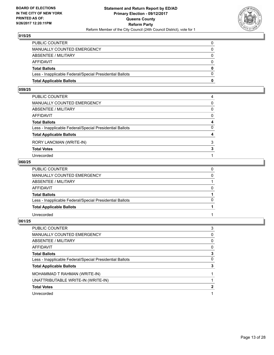

| <b>Total Applicable Ballots</b>                          | 0            |
|----------------------------------------------------------|--------------|
| Less - Inapplicable Federal/Special Presidential Ballots | $\Omega$     |
| <b>Total Ballots</b>                                     | $\mathbf{0}$ |
| <b>AFFIDAVIT</b>                                         | $\Omega$     |
| <b>ABSENTEE / MILITARY</b>                               | $\Omega$     |
| <b>MANUALLY COUNTED EMERGENCY</b>                        | 0            |
| PUBLIC COUNTER                                           | 0            |

#### **059/25**

| PUBLIC COUNTER                                           | 4            |
|----------------------------------------------------------|--------------|
| MANUALLY COUNTED EMERGENCY                               | 0            |
| ABSENTEE / MILITARY                                      | $\mathbf{0}$ |
| AFFIDAVIT                                                | $\mathbf{0}$ |
| Total Ballots                                            | 4            |
| Less - Inapplicable Federal/Special Presidential Ballots | $\mathbf{0}$ |
| <b>Total Applicable Ballots</b>                          | 4            |
| RORY LANCMAN (WRITE-IN)                                  | 3            |
| <b>Total Votes</b>                                       | 3            |
| Unrecorded                                               |              |

## **060/25**

| PUBLIC COUNTER                                           |          |
|----------------------------------------------------------|----------|
| MANUALLY COUNTED EMERGENCY                               | $\Omega$ |
| <b>ABSENTEE / MILITARY</b>                               |          |
| AFFIDAVIT                                                | $\Omega$ |
| <b>Total Ballots</b>                                     |          |
| Less - Inapplicable Federal/Special Presidential Ballots | $\Omega$ |
| <b>Total Applicable Ballots</b>                          |          |
| Unrecorded                                               |          |

| <b>PUBLIC COUNTER</b>                                    | 3 |
|----------------------------------------------------------|---|
| <b>MANUALLY COUNTED EMERGENCY</b>                        | 0 |
| ABSENTEE / MILITARY                                      | 0 |
| AFFIDAVIT                                                | 0 |
| <b>Total Ballots</b>                                     | 3 |
| Less - Inapplicable Federal/Special Presidential Ballots | 0 |
| <b>Total Applicable Ballots</b>                          | 3 |
| MOHAMMAD T RAHMAN (WRITE-IN)                             |   |
| UNATTRIBUTABLE WRITE-IN (WRITE-IN)                       |   |
| <b>Total Votes</b>                                       | 2 |
| Unrecorded                                               |   |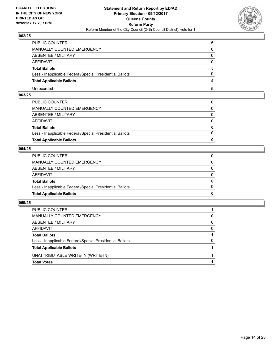

| PUBLIC COUNTER                                           | 5 |
|----------------------------------------------------------|---|
| <b>MANUALLY COUNTED EMERGENCY</b>                        |   |
| ABSENTEE / MILITARY                                      |   |
| AFFIDAVIT                                                |   |
| <b>Total Ballots</b>                                     |   |
| Less - Inapplicable Federal/Special Presidential Ballots |   |
| <b>Total Applicable Ballots</b>                          |   |
| Unrecorded                                               | h |

## **063/25**

| <b>Total Applicable Ballots</b>                          | 0            |
|----------------------------------------------------------|--------------|
| Less - Inapplicable Federal/Special Presidential Ballots | $\Omega$     |
| <b>Total Ballots</b>                                     | $\mathbf{0}$ |
| AFFIDAVIT                                                | $\Omega$     |
| ABSENTEE / MILITARY                                      | $\Omega$     |
| MANUALLY COUNTED EMERGENCY                               | $\mathbf{0}$ |
| PUBLIC COUNTER                                           | $\Omega$     |

## **064/25**

| <b>Total Applicable Ballots</b>                          | $\Omega$     |
|----------------------------------------------------------|--------------|
| Less - Inapplicable Federal/Special Presidential Ballots | $\Omega$     |
| <b>Total Ballots</b>                                     | $\mathbf{0}$ |
| AFFIDAVIT                                                | $\Omega$     |
| ABSENTEE / MILITARY                                      | $\mathbf{0}$ |
| MANUALLY COUNTED EMERGENCY                               | $\mathbf{0}$ |
| PUBLIC COUNTER                                           |              |

| <b>Total Votes</b>                                       |          |
|----------------------------------------------------------|----------|
| UNATTRIBUTABLE WRITE-IN (WRITE-IN)                       |          |
| <b>Total Applicable Ballots</b>                          |          |
| Less - Inapplicable Federal/Special Presidential Ballots | 0        |
| <b>Total Ballots</b>                                     |          |
| AFFIDAVIT                                                | $\Omega$ |
| ABSENTEE / MILITARY                                      | 0        |
| MANUALLY COUNTED EMERGENCY                               | 0        |
| PUBLIC COUNTER                                           |          |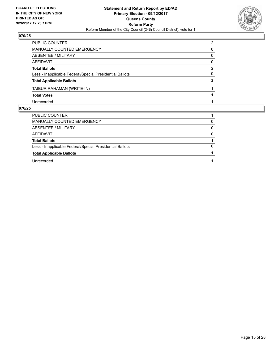

| <b>PUBLIC COUNTER</b>                                    | 2            |
|----------------------------------------------------------|--------------|
| MANUALLY COUNTED EMERGENCY                               | 0            |
| ABSENTEE / MILITARY                                      | 0            |
| AFFIDAVIT                                                | $\Omega$     |
| <b>Total Ballots</b>                                     | $\mathbf{2}$ |
| Less - Inapplicable Federal/Special Presidential Ballots | 0            |
| <b>Total Applicable Ballots</b>                          | 2            |
| TAIBUR RAHAMAN (WRITE-IN)                                |              |
| <b>Total Votes</b>                                       |              |
| Unrecorded                                               |              |
|                                                          |              |

| <b>PUBLIC COUNTER</b>                                    |   |
|----------------------------------------------------------|---|
| MANUALLY COUNTED EMERGENCY                               | 0 |
| ABSENTEE / MILITARY                                      |   |
| AFFIDAVIT                                                | 0 |
| <b>Total Ballots</b>                                     |   |
| Less - Inapplicable Federal/Special Presidential Ballots |   |
| <b>Total Applicable Ballots</b>                          |   |
| Unrecorded                                               |   |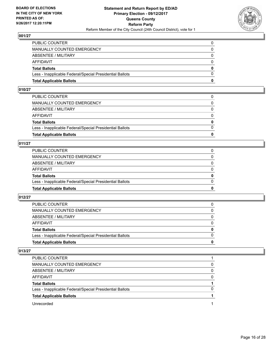

| <b>Total Applicable Ballots</b>                          | 0        |
|----------------------------------------------------------|----------|
| Less - Inapplicable Federal/Special Presidential Ballots | $\Omega$ |
| <b>Total Ballots</b>                                     | $\bf{0}$ |
| AFFIDAVIT                                                | $\Omega$ |
| <b>ABSENTEE / MILITARY</b>                               | $\Omega$ |
| <b>MANUALLY COUNTED EMERGENCY</b>                        | 0        |
| PUBLIC COUNTER                                           | 0        |

#### **010/27**

| <b>Total Applicable Ballots</b>                          | 0            |
|----------------------------------------------------------|--------------|
|                                                          |              |
| Less - Inapplicable Federal/Special Presidential Ballots | $\Omega$     |
| <b>Total Ballots</b>                                     | $\mathbf{0}$ |
| AFFIDAVIT                                                | $\Omega$     |
| ABSENTEE / MILITARY                                      | $\Omega$     |
| MANUALLY COUNTED EMERGENCY                               | 0            |
| PUBLIC COUNTER                                           |              |
|                                                          |              |

## **011/27**

| <b>Total Applicable Ballots</b>                          | 0            |
|----------------------------------------------------------|--------------|
| Less - Inapplicable Federal/Special Presidential Ballots | $\Omega$     |
| <b>Total Ballots</b>                                     | $\mathbf{0}$ |
| <b>AFFIDAVIT</b>                                         | $\Omega$     |
| ABSENTEE / MILITARY                                      | $\Omega$     |
| MANUALLY COUNTED EMERGENCY                               |              |
| PUBLIC COUNTER                                           |              |

#### **012/27**

| <b>Total Applicable Ballots</b>                          | o        |
|----------------------------------------------------------|----------|
| Less - Inapplicable Federal/Special Presidential Ballots | $\Omega$ |
| <b>Total Ballots</b>                                     | 0        |
| <b>AFFIDAVIT</b>                                         |          |
| ABSENTEE / MILITARY                                      | $\Omega$ |
| MANUALLY COUNTED EMERGENCY                               | 0        |
| PUBLIC COUNTER                                           | 0        |

| PUBLIC COUNTER                                           |   |
|----------------------------------------------------------|---|
| <b>MANUALLY COUNTED EMERGENCY</b>                        | 0 |
| ABSENTEE / MILITARY                                      | 0 |
| AFFIDAVIT                                                | 0 |
| <b>Total Ballots</b>                                     |   |
| Less - Inapplicable Federal/Special Presidential Ballots | 0 |
| <b>Total Applicable Ballots</b>                          |   |
| Unrecorded                                               |   |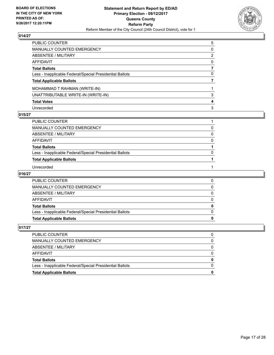

| PUBLIC COUNTER                                           | 5 |
|----------------------------------------------------------|---|
| MANUALLY COUNTED EMERGENCY                               | 0 |
| <b>ABSENTEE / MILITARY</b>                               | 2 |
| AFFIDAVIT                                                | 0 |
| <b>Total Ballots</b>                                     |   |
| Less - Inapplicable Federal/Special Presidential Ballots | 0 |
| <b>Total Applicable Ballots</b>                          |   |
| MOHAMMAD T RAHMAN (WRITE-IN)                             |   |
| UNATTRIBUTABLE WRITE-IN (WRITE-IN)                       | 3 |
| <b>Total Votes</b>                                       | 4 |
| Unrecorded                                               | 3 |

#### **015/27**

| PUBLIC COUNTER                                           |          |
|----------------------------------------------------------|----------|
| MANUALLY COUNTED EMERGENCY                               | O)       |
| ABSENTEE / MILITARY                                      | $\Omega$ |
| <b>AFFIDAVIT</b>                                         | 0        |
| <b>Total Ballots</b>                                     |          |
| Less - Inapplicable Federal/Special Presidential Ballots | n        |
| <b>Total Applicable Ballots</b>                          |          |
| Unrecorded                                               |          |

#### **016/27**

| <b>Total Applicable Ballots</b>                          |  |
|----------------------------------------------------------|--|
| Less - Inapplicable Federal/Special Presidential Ballots |  |
| <b>Total Ballots</b>                                     |  |
| AFFIDAVIT                                                |  |
| ABSENTEE / MILITARY                                      |  |
| MANUALLY COUNTED EMERGENCY                               |  |
| PUBLIC COUNTER                                           |  |

| <b>Total Applicable Ballots</b>                          |  |
|----------------------------------------------------------|--|
| Less - Inapplicable Federal/Special Presidential Ballots |  |
| <b>Total Ballots</b>                                     |  |
| AFFIDAVIT                                                |  |
| ABSENTEE / MILITARY                                      |  |
| MANUALLY COUNTED EMERGENCY                               |  |
| <b>PUBLIC COUNTER</b>                                    |  |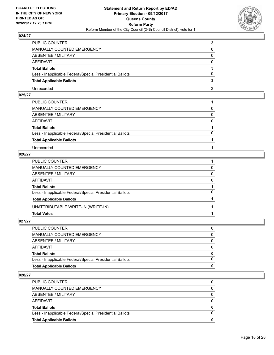

| PUBLIC COUNTER                                           |  |
|----------------------------------------------------------|--|
| <b>MANUALLY COUNTED EMERGENCY</b>                        |  |
| <b>ABSENTEE / MILITARY</b>                               |  |
| AFFIDAVIT                                                |  |
| <b>Total Ballots</b>                                     |  |
| Less - Inapplicable Federal/Special Presidential Ballots |  |
| <b>Total Applicable Ballots</b>                          |  |
| Unrecorded                                               |  |

## **025/27**

| PUBLIC COUNTER                                           |              |
|----------------------------------------------------------|--------------|
| MANUALLY COUNTED EMERGENCY                               | 0            |
| ABSENTEE / MILITARY                                      | $\mathbf{0}$ |
| AFFIDAVIT                                                | $\Omega$     |
| <b>Total Ballots</b>                                     |              |
| Less - Inapplicable Federal/Special Presidential Ballots | $\Omega$     |
| <b>Total Applicable Ballots</b>                          |              |
| Unrecorded                                               |              |

## **026/27**

| PUBLIC COUNTER                                           |              |
|----------------------------------------------------------|--------------|
| MANUALLY COUNTED EMERGENCY                               | 0            |
| ABSENTEE / MILITARY                                      | $\Omega$     |
| AFFIDAVIT                                                | $\mathbf{0}$ |
| <b>Total Ballots</b>                                     |              |
| Less - Inapplicable Federal/Special Presidential Ballots | $\Omega$     |
| <b>Total Applicable Ballots</b>                          |              |
| UNATTRIBUTABLE WRITE-IN (WRITE-IN)                       |              |
| <b>Total Votes</b>                                       |              |
|                                                          |              |

**027/27** 

| <b>Total Applicable Ballots</b>                          | 0        |
|----------------------------------------------------------|----------|
| Less - Inapplicable Federal/Special Presidential Ballots |          |
| Total Ballots                                            | $\bf{0}$ |
| AFFIDAVIT                                                |          |
| ABSENTEE / MILITARY                                      | 0        |
| MANUALLY COUNTED EMERGENCY                               | 0        |
| PUBLIC COUNTER                                           |          |
|                                                          |          |

| <b>PUBLIC COUNTER</b>                                    | 0        |
|----------------------------------------------------------|----------|
| MANUALLY COUNTED EMERGENCY                               | 0        |
| ABSENTEE / MILITARY                                      | 0        |
| AFFIDAVIT                                                | $\Omega$ |
| <b>Total Ballots</b>                                     | 0        |
| Less - Inapplicable Federal/Special Presidential Ballots | 0        |
| <b>Total Applicable Ballots</b>                          | 0        |
|                                                          |          |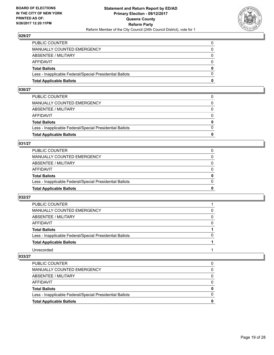

| <b>Total Applicable Ballots</b>                          | 0        |
|----------------------------------------------------------|----------|
| Less - Inapplicable Federal/Special Presidential Ballots | $\Omega$ |
| <b>Total Ballots</b>                                     | $\bf{0}$ |
| AFFIDAVIT                                                | $\Omega$ |
| <b>ABSENTEE / MILITARY</b>                               | $\Omega$ |
| <b>MANUALLY COUNTED EMERGENCY</b>                        | 0        |
| PUBLIC COUNTER                                           | 0        |

## **030/27**

| PUBLIC COUNTER                                           | 0            |
|----------------------------------------------------------|--------------|
| MANUALLY COUNTED EMERGENCY                               | 0            |
| ABSENTEE / MILITARY                                      | $\Omega$     |
| AFFIDAVIT                                                | $\Omega$     |
| <b>Total Ballots</b>                                     | $\mathbf{0}$ |
| Less - Inapplicable Federal/Special Presidential Ballots | $\Omega$     |
| <b>Total Applicable Ballots</b>                          | 0            |
|                                                          |              |

#### **031/27**

| <b>Total Applicable Ballots</b>                          | 0        |
|----------------------------------------------------------|----------|
| Less - Inapplicable Federal/Special Presidential Ballots | $\Omega$ |
| <b>Total Ballots</b>                                     | 0        |
| <b>AFFIDAVIT</b>                                         | 0        |
| ABSENTEE / MILITARY                                      | $\Omega$ |
| MANUALLY COUNTED EMERGENCY                               | 0        |
| PUBLIC COUNTER                                           |          |

#### **032/27**

| <b>PUBLIC COUNTER</b>                                    |              |
|----------------------------------------------------------|--------------|
| MANUALLY COUNTED EMERGENCY                               | 0            |
| ABSENTEE / MILITARY                                      | 0            |
| <b>AFFIDAVIT</b>                                         | 0            |
| <b>Total Ballots</b>                                     |              |
| Less - Inapplicable Federal/Special Presidential Ballots | <sup>0</sup> |
| <b>Total Applicable Ballots</b>                          |              |
| Unrecorded                                               |              |

| <b>Total Applicable Ballots</b>                          | 0 |
|----------------------------------------------------------|---|
| Less - Inapplicable Federal/Special Presidential Ballots | 0 |
| <b>Total Ballots</b>                                     | 0 |
| AFFIDAVIT                                                | 0 |
| ABSENTEE / MILITARY                                      | 0 |
| MANUALLY COUNTED EMERGENCY                               | 0 |
| <b>PUBLIC COUNTER</b>                                    | 0 |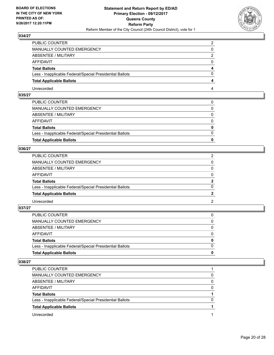

| PUBLIC COUNTER                                           | ◠ |
|----------------------------------------------------------|---|
| <b>MANUALLY COUNTED EMERGENCY</b>                        |   |
| ABSENTEE / MILITARY                                      |   |
| AFFIDAVIT                                                |   |
| <b>Total Ballots</b>                                     |   |
| Less - Inapplicable Federal/Special Presidential Ballots |   |
| <b>Total Applicable Ballots</b>                          |   |
| Unrecorded                                               |   |

## **035/27**

| <b>Total Applicable Ballots</b>                          | $\bf{0}$     |
|----------------------------------------------------------|--------------|
| Less - Inapplicable Federal/Special Presidential Ballots | $\Omega$     |
| <b>Total Ballots</b>                                     | $\mathbf{0}$ |
| AFFIDAVIT                                                | $\Omega$     |
| ABSENTEE / MILITARY                                      | $\Omega$     |
| MANUALLY COUNTED EMERGENCY                               | $\mathbf{0}$ |
| PUBLIC COUNTER                                           | 0            |

## **036/27**

| PUBLIC COUNTER                                           |                |
|----------------------------------------------------------|----------------|
| MANUALLY COUNTED EMERGENCY                               | 0              |
| ABSENTEE / MILITARY                                      | 0              |
| AFFIDAVIT                                                | $\Omega$       |
| <b>Total Ballots</b>                                     | $\overline{2}$ |
| Less - Inapplicable Federal/Special Presidential Ballots | $\Omega$       |
| <b>Total Applicable Ballots</b>                          |                |
| Unrecorded                                               | $\mathcal{P}$  |

#### **037/27**

| <b>Total Applicable Ballots</b>                          | 0            |
|----------------------------------------------------------|--------------|
| Less - Inapplicable Federal/Special Presidential Ballots | $\Omega$     |
| <b>Total Ballots</b>                                     | $\mathbf{0}$ |
| <b>AFFIDAVIT</b>                                         | $\Omega$     |
| ABSENTEE / MILITARY                                      | $\Omega$     |
| <b>MANUALLY COUNTED EMERGENCY</b>                        | 0            |
| PUBLIC COUNTER                                           |              |

| <b>PUBLIC COUNTER</b>                                    |          |
|----------------------------------------------------------|----------|
| MANUALLY COUNTED EMERGENCY                               | 0        |
| ABSENTEE / MILITARY                                      | $\Omega$ |
| AFFIDAVIT                                                | 0        |
| <b>Total Ballots</b>                                     |          |
| Less - Inapplicable Federal/Special Presidential Ballots | 0        |
| <b>Total Applicable Ballots</b>                          |          |
| Unrecorded                                               |          |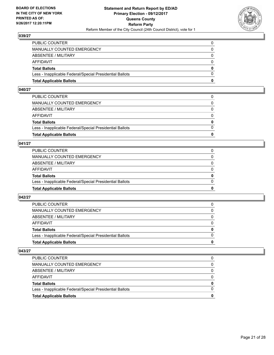

| <b>Total Applicable Ballots</b>                          | 0        |
|----------------------------------------------------------|----------|
| Less - Inapplicable Federal/Special Presidential Ballots | $\Omega$ |
| <b>Total Ballots</b>                                     | $\bf{0}$ |
| <b>AFFIDAVIT</b>                                         | 0        |
| <b>ABSENTEE / MILITARY</b>                               | $\Omega$ |
| <b>MANUALLY COUNTED EMERGENCY</b>                        | $\Omega$ |
| PUBLIC COUNTER                                           |          |

## **040/27**

| PUBLIC COUNTER                                           | 0            |
|----------------------------------------------------------|--------------|
| MANUALLY COUNTED EMERGENCY                               | 0            |
| ABSENTEE / MILITARY                                      | $\Omega$     |
| AFFIDAVIT                                                | $\Omega$     |
| <b>Total Ballots</b>                                     | $\mathbf{0}$ |
| Less - Inapplicable Federal/Special Presidential Ballots | $\Omega$     |
| <b>Total Applicable Ballots</b>                          | 0            |
|                                                          |              |

#### **041/27**

| <b>Total Applicable Ballots</b>                          | 0        |
|----------------------------------------------------------|----------|
| Less - Inapplicable Federal/Special Presidential Ballots | $\Omega$ |
| <b>Total Ballots</b>                                     | 0        |
| <b>AFFIDAVIT</b>                                         | 0        |
| ABSENTEE / MILITARY                                      | $\Omega$ |
| MANUALLY COUNTED EMERGENCY                               | 0        |
| PUBLIC COUNTER                                           |          |

#### **042/27**

| <b>Total Applicable Ballots</b>                          | 0        |
|----------------------------------------------------------|----------|
| Less - Inapplicable Federal/Special Presidential Ballots |          |
| <b>Total Ballots</b>                                     | $\bf{0}$ |
| <b>AFFIDAVIT</b>                                         |          |
| ABSENTEE / MILITARY                                      | 0        |
| MANUALLY COUNTED EMERGENCY                               | 0        |
| <b>PUBLIC COUNTER</b>                                    | 0        |

| <b>Total Applicable Ballots</b>                          | 0 |
|----------------------------------------------------------|---|
| Less - Inapplicable Federal/Special Presidential Ballots |   |
| <b>Total Ballots</b>                                     | 0 |
| AFFIDAVIT                                                |   |
| ABSENTEE / MILITARY                                      |   |
| MANUALLY COUNTED EMERGENCY                               | 0 |
| PUBLIC COUNTER                                           |   |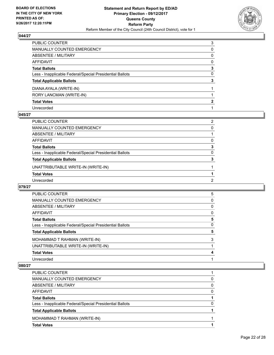

| PUBLIC COUNTER                                           | 3 |
|----------------------------------------------------------|---|
| MANUALLY COUNTED EMERGENCY                               | 0 |
| <b>ABSENTEE / MILITARY</b>                               | 0 |
| <b>AFFIDAVIT</b>                                         | 0 |
| <b>Total Ballots</b>                                     | 3 |
| Less - Inapplicable Federal/Special Presidential Ballots | 0 |
| <b>Total Applicable Ballots</b>                          | 3 |
| DIANA AYALA (WRITE-IN)                                   |   |
| RORY LANCMAN (WRITE-IN)                                  |   |
| <b>Total Votes</b>                                       | 2 |
| Unrecorded                                               |   |

#### **045/27**

| PUBLIC COUNTER                                           | 2        |
|----------------------------------------------------------|----------|
| MANUALLY COUNTED EMERGENCY                               | 0        |
| ABSENTEE / MILITARY                                      |          |
| AFFIDAVIT                                                | 0        |
| <b>Total Ballots</b>                                     | 3        |
| Less - Inapplicable Federal/Special Presidential Ballots | $\Omega$ |
| <b>Total Applicable Ballots</b>                          | 3        |
| UNATTRIBUTABLE WRITE-IN (WRITE-IN)                       |          |
| <b>Total Votes</b>                                       |          |
| Unrecorded                                               | 2        |

#### **079/27**

| <b>PUBLIC COUNTER</b>                                    | 5 |
|----------------------------------------------------------|---|
| <b>MANUALLY COUNTED EMERGENCY</b>                        | 0 |
| <b>ABSENTEE / MILITARY</b>                               | 0 |
| AFFIDAVIT                                                | 0 |
| <b>Total Ballots</b>                                     | 5 |
| Less - Inapplicable Federal/Special Presidential Ballots | 0 |
| <b>Total Applicable Ballots</b>                          | 5 |
| MOHAMMAD T RAHMAN (WRITE-IN)                             | 3 |
| UNATTRIBUTABLE WRITE-IN (WRITE-IN)                       |   |
| <b>Total Votes</b>                                       | 4 |
| Unrecorded                                               |   |

| PUBLIC COUNTER                                           |   |
|----------------------------------------------------------|---|
| <b>MANUALLY COUNTED EMERGENCY</b>                        | 0 |
| <b>ABSENTEE / MILITARY</b>                               | 0 |
| AFFIDAVIT                                                | 0 |
| <b>Total Ballots</b>                                     |   |
| Less - Inapplicable Federal/Special Presidential Ballots | 0 |
| <b>Total Applicable Ballots</b>                          |   |
| MOHAMMAD T RAHMAN (WRITE-IN)                             |   |
| <b>Total Votes</b>                                       |   |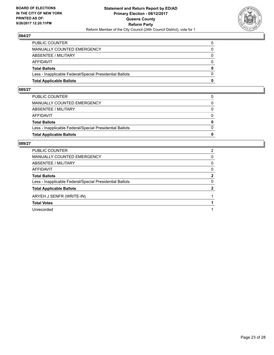

| <b>Total Applicable Ballots</b>                          | 0        |
|----------------------------------------------------------|----------|
| Less - Inapplicable Federal/Special Presidential Ballots | $\Omega$ |
| <b>Total Ballots</b>                                     | 0        |
| <b>AFFIDAVIT</b>                                         | 0        |
| ABSENTEE / MILITARY                                      | $\Omega$ |
| <b>MANUALLY COUNTED EMERGENCY</b>                        |          |
| PUBLIC COUNTER                                           |          |

#### **085/27**

| PUBLIC COUNTER                                           | 0            |
|----------------------------------------------------------|--------------|
| MANUALLY COUNTED EMERGENCY                               | $\Omega$     |
| ABSENTEE / MILITARY                                      | $\Omega$     |
| AFFIDAVIT                                                | $\Omega$     |
| <b>Total Ballots</b>                                     | $\mathbf{0}$ |
| Less - Inapplicable Federal/Special Presidential Ballots | $\Omega$     |
| <b>Total Applicable Ballots</b>                          | 0            |
|                                                          |              |

| <b>PUBLIC COUNTER</b>                                    | 2 |
|----------------------------------------------------------|---|
| MANUALLY COUNTED EMERGENCY                               | 0 |
| ABSENTEE / MILITARY                                      | 0 |
| AFFIDAVIT                                                | 0 |
| <b>Total Ballots</b>                                     | 2 |
| Less - Inapplicable Federal/Special Presidential Ballots | 0 |
| <b>Total Applicable Ballots</b>                          |   |
| ARYEH J SENFR (WRITE-IN)                                 |   |
| <b>Total Votes</b>                                       |   |
| Unrecorded                                               |   |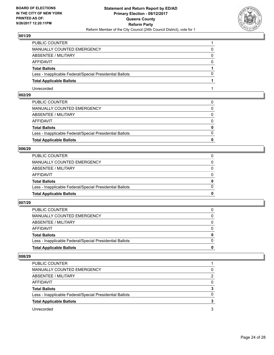

| PUBLIC COUNTER                                           |              |
|----------------------------------------------------------|--------------|
| MANUALLY COUNTED EMERGENCY                               |              |
| ABSENTEE / MILITARY                                      |              |
| AFFIDAVIT                                                | $\mathbf{O}$ |
| <b>Total Ballots</b>                                     |              |
| Less - Inapplicable Federal/Special Presidential Ballots |              |
| <b>Total Applicable Ballots</b>                          |              |
| Unrecorded                                               |              |

## **002/29**

| <b>Total Applicable Ballots</b>                          | $\bf{0}$     |
|----------------------------------------------------------|--------------|
| Less - Inapplicable Federal/Special Presidential Ballots | $\Omega$     |
| <b>Total Ballots</b>                                     | $\mathbf{0}$ |
| AFFIDAVIT                                                | $\Omega$     |
| ABSENTEE / MILITARY                                      | $\Omega$     |
| MANUALLY COUNTED EMERGENCY                               | $\mathbf{0}$ |
| PUBLIC COUNTER                                           | 0            |

## **006/29**

| <b>Total Applicable Ballots</b>                          | 0            |
|----------------------------------------------------------|--------------|
| Less - Inapplicable Federal/Special Presidential Ballots | $\Omega$     |
| <b>Total Ballots</b>                                     | $\mathbf{0}$ |
| AFFIDAVIT                                                | $\Omega$     |
| ABSENTEE / MILITARY                                      | $\mathbf{0}$ |
| MANUALLY COUNTED EMERGENCY                               | 0            |
| PUBLIC COUNTER                                           |              |

#### **007/29**

| <b>Total Applicable Ballots</b>                          | o            |
|----------------------------------------------------------|--------------|
| Less - Inapplicable Federal/Special Presidential Ballots | <sup>0</sup> |
| <b>Total Ballots</b>                                     | 0            |
| AFFIDAVIT                                                |              |
| ABSENTEE / MILITARY                                      | 0            |
| MANUALLY COUNTED EMERGENCY                               | 0            |
| <b>PUBLIC COUNTER</b>                                    |              |

| PUBLIC COUNTER                                           |   |
|----------------------------------------------------------|---|
| MANUALLY COUNTED EMERGENCY                               |   |
| ABSENTEE / MILITARY                                      | 2 |
| AFFIDAVIT                                                |   |
| <b>Total Ballots</b>                                     |   |
| Less - Inapplicable Federal/Special Presidential Ballots | O |
| <b>Total Applicable Ballots</b>                          |   |
| Unrecorded                                               | 3 |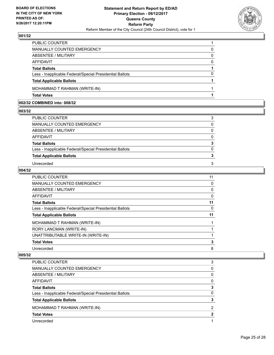

| <b>Total Votes</b>                                       |          |
|----------------------------------------------------------|----------|
| MOHAMMAD T RAHMAN (WRITE-IN)                             |          |
| <b>Total Applicable Ballots</b>                          |          |
| Less - Inapplicable Federal/Special Presidential Ballots | 0        |
| <b>Total Ballots</b>                                     |          |
| <b>AFFIDAVIT</b>                                         | $\Omega$ |
| ABSENTEE / MILITARY                                      | 0        |
| <b>MANUALLY COUNTED EMERGENCY</b>                        | 0        |
| PUBLIC COUNTER                                           |          |

## **002/32 COMBINED into: 008/32**

**003/32** 

| PUBLIC COUNTER                                           | 3        |
|----------------------------------------------------------|----------|
| MANUALLY COUNTED EMERGENCY                               | $\Omega$ |
| ABSENTEE / MILITARY                                      | 0        |
| AFFIDAVIT                                                | $\Omega$ |
| <b>Total Ballots</b>                                     | 3        |
| Less - Inapplicable Federal/Special Presidential Ballots | $\Omega$ |
| <b>Total Applicable Ballots</b>                          | 3        |
| Unrecorded                                               | 3        |

#### **004/32**

| <b>PUBLIC COUNTER</b>                                    | 11 |
|----------------------------------------------------------|----|
| MANUALLY COUNTED EMERGENCY                               | 0  |
| ABSENTEE / MILITARY                                      | 0  |
| AFFIDAVIT                                                | 0  |
| <b>Total Ballots</b>                                     | 11 |
| Less - Inapplicable Federal/Special Presidential Ballots | 0  |
| <b>Total Applicable Ballots</b>                          | 11 |
| MOHAMMAD T RAHMAN (WRITE-IN)                             |    |
| RORY LANCMAN (WRITE-IN)                                  |    |
| UNATTRIBUTABLE WRITE-IN (WRITE-IN)                       |    |
|                                                          |    |
| <b>Total Votes</b>                                       | 3  |

| PUBLIC COUNTER                                           | 3 |
|----------------------------------------------------------|---|
| <b>MANUALLY COUNTED EMERGENCY</b>                        | 0 |
| ABSENTEE / MILITARY                                      | 0 |
| AFFIDAVIT                                                | 0 |
| <b>Total Ballots</b>                                     |   |
| Less - Inapplicable Federal/Special Presidential Ballots | 0 |
| <b>Total Applicable Ballots</b>                          |   |
| MOHAMMAD T RAHMAN (WRITE-IN)                             | 2 |
| <b>Total Votes</b>                                       |   |
| Unrecorded                                               |   |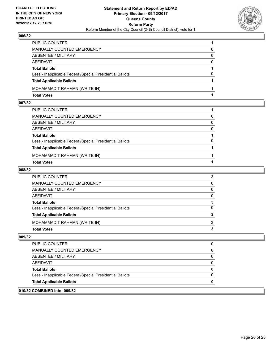

| <b>Total Votes</b>                                       |          |
|----------------------------------------------------------|----------|
| MOHAMMAD T RAHMAN (WRITE-IN)                             |          |
| <b>Total Applicable Ballots</b>                          |          |
| Less - Inapplicable Federal/Special Presidential Ballots | 0        |
| <b>Total Ballots</b>                                     |          |
| <b>AFFIDAVIT</b>                                         | $\Omega$ |
| ABSENTEE / MILITARY                                      | 0        |
| MANUALLY COUNTED EMERGENCY                               | 0        |
| PUBLIC COUNTER                                           |          |

#### **007/32**

| PUBLIC COUNTER                                           |          |
|----------------------------------------------------------|----------|
| MANUALLY COUNTED EMERGENCY                               | $\Omega$ |
| ABSENTEE / MILITARY                                      | $\Omega$ |
| AFFIDAVIT                                                | $\Omega$ |
| <b>Total Ballots</b>                                     |          |
| Less - Inapplicable Federal/Special Presidential Ballots | $\Omega$ |
| <b>Total Applicable Ballots</b>                          |          |
| MOHAMMAD T RAHMAN (WRITE-IN)                             |          |
| <b>Total Votes</b>                                       |          |
|                                                          |          |

#### **008/32**

| PUBLIC COUNTER                                           | 3            |
|----------------------------------------------------------|--------------|
| MANUALLY COUNTED EMERGENCY                               | $\mathbf{0}$ |
| ABSENTEE / MILITARY                                      | $\mathbf{0}$ |
| AFFIDAVIT                                                | $\mathbf{0}$ |
| <b>Total Ballots</b>                                     | 3            |
| Less - Inapplicable Federal/Special Presidential Ballots | $\mathbf{0}$ |
| <b>Total Applicable Ballots</b>                          | 3            |
| MOHAMMAD T RAHMAN (WRITE-IN)                             | 3            |
| <b>Total Votes</b>                                       | 3            |
|                                                          |              |

#### **009/32**

| <b>Total Applicable Ballots</b>                          |  |
|----------------------------------------------------------|--|
| Less - Inapplicable Federal/Special Presidential Ballots |  |
| <b>Total Ballots</b>                                     |  |
| AFFIDAVIT                                                |  |
| ABSENTEE / MILITARY                                      |  |
| <b>MANUALLY COUNTED EMERGENCY</b>                        |  |
| <b>PUBLIC COUNTER</b>                                    |  |

## **010/32 COMBINED into: 009/32**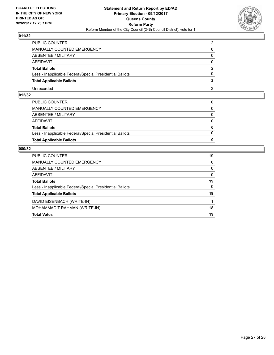

| PUBLIC COUNTER                                           |  |
|----------------------------------------------------------|--|
| <b>MANUALLY COUNTED EMERGENCY</b>                        |  |
| ABSENTEE / MILITARY                                      |  |
| AFFIDAVIT                                                |  |
| <b>Total Ballots</b>                                     |  |
| Less - Inapplicable Federal/Special Presidential Ballots |  |
| <b>Total Applicable Ballots</b>                          |  |
| Unrecorded                                               |  |

## **012/32**

| <b>Total Applicable Ballots</b>                          | 0            |
|----------------------------------------------------------|--------------|
| Less - Inapplicable Federal/Special Presidential Ballots | $\Omega$     |
| <b>Total Ballots</b>                                     | $\mathbf{0}$ |
| AFFIDAVIT                                                | $\Omega$     |
| ABSENTEE / MILITARY                                      | 0            |
| MANUALLY COUNTED EMERGENCY                               | $\Omega$     |
| PUBLIC COUNTER                                           | 0            |

| PUBLIC COUNTER                                           | 19           |
|----------------------------------------------------------|--------------|
| <b>MANUALLY COUNTED EMERGENCY</b>                        | $\Omega$     |
| <b>ABSENTEE / MILITARY</b>                               | $\mathbf{0}$ |
| AFFIDAVIT                                                | $\Omega$     |
| <b>Total Ballots</b>                                     | 19           |
| Less - Inapplicable Federal/Special Presidential Ballots | $\mathbf{0}$ |
| <b>Total Applicable Ballots</b>                          | 19           |
| DAVID EISENBACH (WRITE-IN)                               |              |
| MOHAMMAD T RAHMAN (WRITE-IN)                             | 18           |
| <b>Total Votes</b>                                       | 19           |